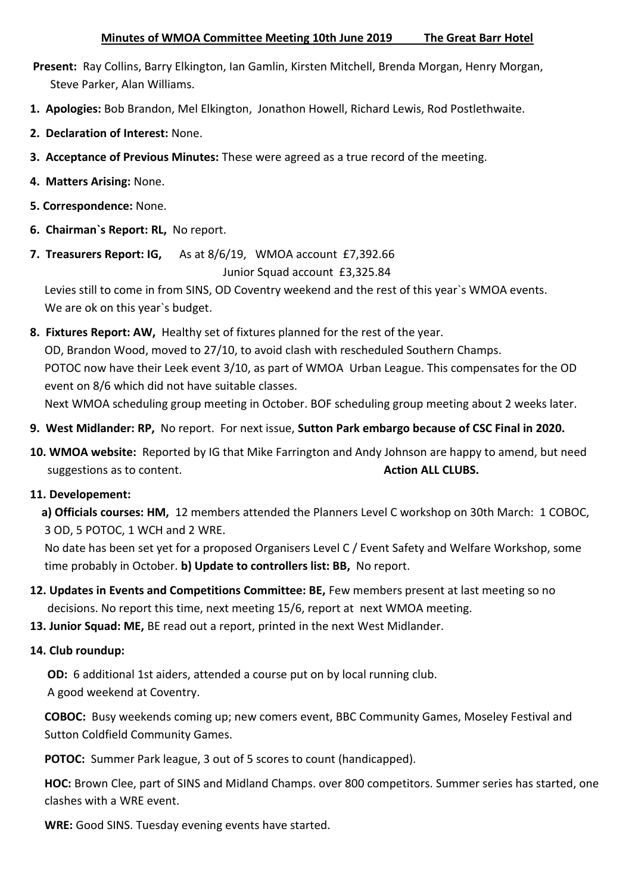### **Minutes of WMOA Committee Meeting 10th June 2019 The Great Barr Hotel**

- **Present:** Ray Collins, Barry Elkington, Ian Gamlin, Kirsten Mitchell, Brenda Morgan, Henry Morgan, Steve Parker, Alan Williams.
- **1. Apologies:** Bob Brandon, Mel Elkington, Jonathon Howell, Richard Lewis, Rod Postlethwaite.
- **2. Declaration of Interest:** None.
- **3. Acceptance of Previous Minutes:** These were agreed as a true record of the meeting.
- **4. Matters Arising:** None.
- **5. Correspondence:** None.
- **6. Chairman`s Report: RL,** No report.
- **7. Treasurers Report: IG,** As at 8/6/19, WMOA account £7,392.66 Junior Squad account £3,325.84

Levies still to come in from SINS, OD Coventry weekend and the rest of this year`s WMOA events. We are ok on this year's budget.

- **8. Fixtures Report: AW,** Healthy set of fixtures planned for the rest of the year. OD, Brandon Wood, moved to 27/10, to avoid clash with rescheduled Southern Champs. POTOC now have their Leek event 3/10, as part of WMOA Urban League. This compensates for the OD event on 8/6 which did not have suitable classes. Next WMOA scheduling group meeting in October. BOF scheduling group meeting about 2 weeks later.
- **9. West Midlander: RP,** No report. For next issue, **Sutton Park embargo because of CSC Final in 2020.**
- **10. WMOA website:** Reported by IG that Mike Farrington and Andy Johnson are happy to amend, but need suggestions as to content. **Action ALL CLUBS. Action ALL CLUBS.**

### **11. Developement:**

 **a) Officials courses: HM,** 12 members attended the Planners Level C workshop on 30th March: 1 COBOC, 3 OD, 5 POTOC, 1 WCH and 2 WRE.

 No date has been set yet for a proposed Organisers Level C / Event Safety and Welfare Workshop, some time probably in October. **b) Update to controllers list: BB,** No report.

- **12. Updates in Events and Competitions Committee: BE,** Few members present at last meeting so no decisions. No report this time, next meeting 15/6, report at next WMOA meeting.
- **13. Junior Squad: ME,** BE read out a report, printed in the next West Midlander.

### **14. Club roundup:**

 **OD:** 6 additional 1st aiders, attended a course put on by local running club. A good weekend at Coventry.

 **COBOC:** Busy weekends coming up; new comers event, BBC Community Games, Moseley Festival and Sutton Coldfield Community Games.

 **POTOC:** Summer Park league, 3 out of 5 scores to count (handicapped).

 **HOC:** Brown Clee, part of SINS and Midland Champs. over 800 competitors. Summer series has started, one clashes with a WRE event.

 **WRE:** Good SINS. Tuesday evening events have started.